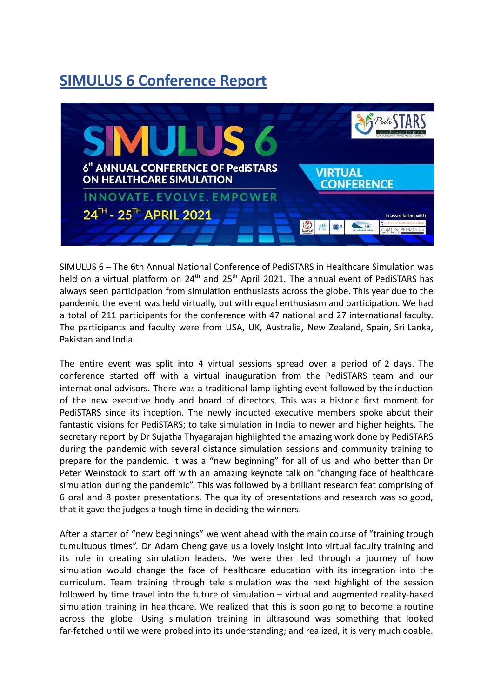## **SIMULUS 6 Conference Report**



SIMULUS 6 – The 6th Annual National Conference of PediSTARS in Healthcare Simulation was held on a virtual platform on  $24<sup>th</sup>$  and  $25<sup>th</sup>$  April 2021. The annual event of PediSTARS has always seen participation from simulation enthusiasts across the globe. This year due to the pandemic the event was held virtually, but with equal enthusiasm and participation. We had a total of 211 participants for the conference with 47 national and 27 international faculty. The participants and faculty were from USA, UK, Australia, New Zealand, Spain, Sri Lanka, Pakistan and India.

The entire event was split into 4 virtual sessions spread over a period of 2 days. The conference started off with a virtual inauguration from the PediSTARS team and our international advisors. There was a traditional lamp lighting event followed by the induction of the new executive body and board of directors. This was a historic first moment for PediSTARS since its inception. The newly inducted executive members spoke about their fantastic visions for PediSTARS; to take simulation in India to newer and higher heights. The secretary report by Dr Sujatha Thyagarajan highlighted the amazing work done by PediSTARS during the pandemic with several distance simulation sessions and community training to prepare for the pandemic. It was a "new beginning" for all of us and who better than Dr Peter Weinstock to start off with an amazing keynote talk on "changing face of healthcare simulation during the pandemic". This was followed by a brilliant research feat comprising of 6 oral and 8 poster presentations. The quality of presentations and research was so good, that it gave the judges a tough time in deciding the winners.

After a starter of "new beginnings" we went ahead with the main course of "training trough tumultuous times". Dr Adam Cheng gave us a lovely insight into virtual faculty training and its role in creating simulation leaders. We were then led through a journey of how simulation would change the face of healthcare education with its integration into the curriculum. Team training through tele simulation was the next highlight of the session followed by time travel into the future of simulation – virtual and augmented reality-based simulation training in healthcare. We realized that this is soon going to become a routine across the globe. Using simulation training in ultrasound was something that looked far-fetched until we were probed into its understanding; and realized, it is very much doable.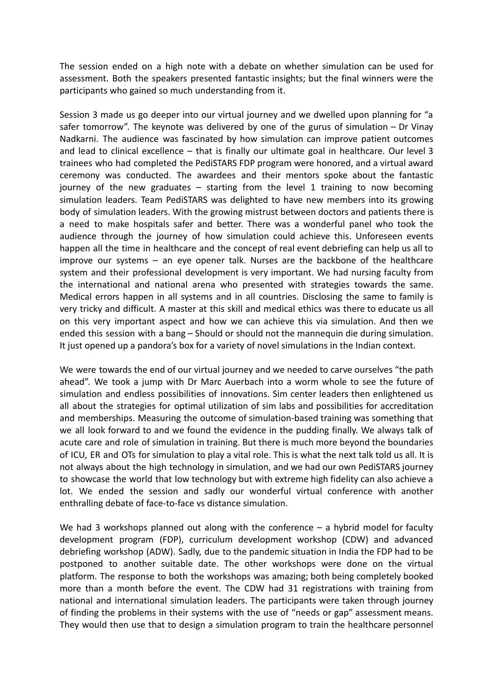The session ended on a high note with a debate on whether simulation can be used for assessment. Both the speakers presented fantastic insights; but the final winners were the participants who gained so much understanding from it.

Session 3 made us go deeper into our virtual journey and we dwelled upon planning for "a safer tomorrow". The keynote was delivered by one of the gurus of simulation – Dr Vinay Nadkarni. The audience was fascinated by how simulation can improve patient outcomes and lead to clinical excellence – that is finally our ultimate goal in healthcare. Our level 3 trainees who had completed the PediSTARS FDP program were honored, and a virtual award ceremony was conducted. The awardees and their mentors spoke about the fantastic journey of the new graduates  $-$  starting from the level 1 training to now becoming simulation leaders. Team PediSTARS was delighted to have new members into its growing body of simulation leaders. With the growing mistrust between doctors and patients there is a need to make hospitals safer and better. There was a wonderful panel who took the audience through the journey of how simulation could achieve this. Unforeseen events happen all the time in healthcare and the concept of real event debriefing can help us all to improve our systems – an eye opener talk. Nurses are the backbone of the healthcare system and their professional development is very important. We had nursing faculty from the international and national arena who presented with strategies towards the same. Medical errors happen in all systems and in all countries. Disclosing the same to family is very tricky and difficult. A master at this skill and medical ethics was there to educate us all on this very important aspect and how we can achieve this via simulation. And then we ended this session with a bang – Should or should not the mannequin die during simulation. It just opened up a pandora's box for a variety of novel simulations in the Indian context.

We were towards the end of our virtual journey and we needed to carve ourselves "the path ahead". We took a jump with Dr Marc Auerbach into a worm whole to see the future of simulation and endless possibilities of innovations. Sim center leaders then enlightened us all about the strategies for optimal utilization of sim labs and possibilities for accreditation and memberships. Measuring the outcome of simulation-based training was something that we all look forward to and we found the evidence in the pudding finally. We always talk of acute care and role of simulation in training. But there is much more beyond the boundaries of ICU, ER and OTs for simulation to play a vital role. This is what the next talk told us all. It is not always about the high technology in simulation, and we had our own PediSTARS journey to showcase the world that low technology but with extreme high fidelity can also achieve a lot. We ended the session and sadly our wonderful virtual conference with another enthralling debate of face-to-face vs distance simulation.

We had 3 workshops planned out along with the conference  $-$  a hybrid model for faculty development program (FDP), curriculum development workshop (CDW) and advanced debriefing workshop (ADW). Sadly, due to the pandemic situation in India the FDP had to be postponed to another suitable date. The other workshops were done on the virtual platform. The response to both the workshops was amazing; both being completely booked more than a month before the event. The CDW had 31 registrations with training from national and international simulation leaders. The participants were taken through journey of finding the problems in their systems with the use of "needs or gap" assessment means. They would then use that to design a simulation program to train the healthcare personnel